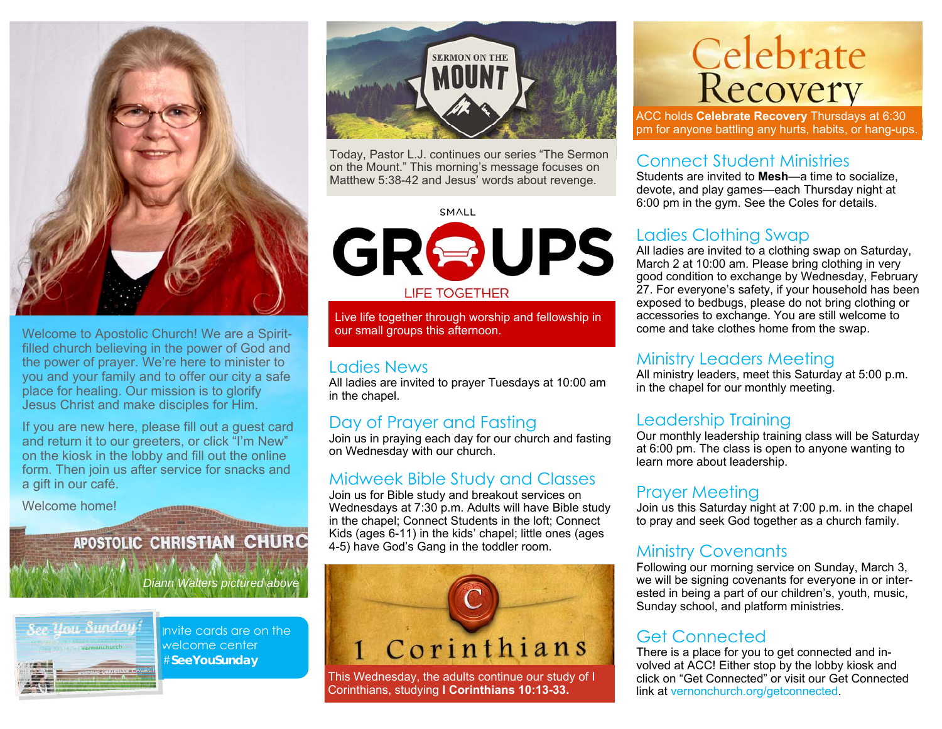

Welcome to Apostolic Church! We are a Spiritfilled church believing in the power of God and the power of prayer. We're here to minister to you and your family and to offer our city a safe place for healing. Our mission is to glorify Jesus Christ and make disciples for Him.

If you are new here, please fill out a guest card and return it to our greeters, or click "I'm New" on the kiosk in the lobby and fill out the online form. Then join us after service for snacks and a gift in our café.

Welcome home!

## **APOSTOLIC CHRISTIAN CHURC**

*Diann Walters pictured above* 



Invite cards are on the welcome center #**SeeYouSunday** 



Today, Pastor L.J. continues our series "The Sermon on the Mount." This morning's message focuses on Matthew 5:38-42 and Jesus' words about revenge.

**SMALL** 

GROUPS **LIFE TOGETHER** 

Live life together through worship and fellowship in our small groups this afternoon.

#### Ladies News

All ladies are invited to prayer Tuesdays at 10:00 am in the chapel.

#### Day of Prayer and Fasting

Join us in praying each day for our church and fasting on Wednesday with our church.

#### Midweek Bible Study and Classes

Join us for Bible study and breakout services on Wednesdays at 7:30 p.m. Adults will have Bible study in the chapel; Connect Students in the loft; Connect Kids (ages 6-11) in the kids' chapel; little ones (ages 4-5) have God's Gang in the toddler room.



This Wednesday, the adults continue our study of I Corinthians, studying **I Corinthians 10:13-33.**

# **Celebrate**<br>Recovery

ACC holds **Celebrate Recovery** Thursdays at 6:30 pm for anyone battling any hurts, habits, or hang-ups.

#### Connect Student Ministries

Students are invited to **Mesh**—a time to socialize, devote, and play games—each Thursday night at 6:00 pm in the gym. See the Coles for details.

#### Ladies Clothing Swap

All ladies are invited to a clothing swap on Saturday, March 2 at 10:00 am. Please bring clothing in very good condition to exchange by Wednesday, February 27. For everyone's safety, if your household has been exposed to bedbugs, please do not bring clothing or accessories to exchange. You are still welcome to come and take clothes home from the swap.

#### Ministry Leaders Meeting

All ministry leaders, meet this Saturday at 5:00 p.m. in the chapel for our monthly meeting.

#### Leadership Training

Our monthly leadership training class will be Saturday at 6:00 pm. The class is open to anyone wanting to learn more about leadership.

#### Prayer Meeting

Join us this Saturday night at 7:00 p.m. in the chapel to pray and seek God together as a church family.

#### Ministry Covenants

Following our morning service on Sunday, March 3, we will be signing covenants for everyone in or interested in being a part of our children's, youth, music, Sunday school, and platform ministries.

#### Get Connected

There is a place for you to get connected and involved at ACC! Either stop by the lobby kiosk and click on "Get Connected" or visit our Get Connected link at vernonchurch.org/getconnected.